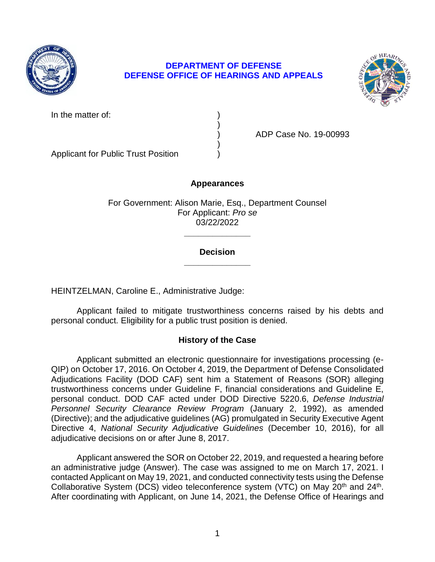

# **DEFENSE OFFICE OF HEARINGS AND APPEALS DEPARTMENT OF DEFENSE**



In the matter of:

) ADP Case No. 19-00993

Applicant for Public Trust Position )

## **Appearances**

)

)

For Government: Alison Marie, Esq., Department Counsel For Applicant: *Pro se*  03/22/2022

## **\_\_\_\_\_\_\_\_\_\_\_\_\_\_ Decision**

**\_\_\_\_\_\_\_\_\_\_\_\_\_\_** 

HEINTZELMAN, Caroline E., Administrative Judge:

Applicant failed to mitigate trustworthiness concerns raised by his debts and personal conduct. Eligibility for a public trust position is denied.

## **History of the Case**

 trustworthiness concerns under Guideline F, financial considerations and Guideline E, Personnel Security Clearance Review Program (January 2, 1992), as amended (Directive); and the adjudicative guidelines (AG) promulgated in Security Executive Agent  Directive 4, *National Security Adjudicative Guidelines* (December 10, 2016), for all Applicant submitted an electronic questionnaire for investigations processing (e-QIP) on October 17, 2016. On October 4, 2019, the Department of Defense Consolidated Adjudications Facility (DOD CAF) sent him a Statement of Reasons (SOR) alleging personal conduct. DOD CAF acted under DOD Directive 5220.6, *Defense Industrial*  adjudicative decisions on or after June 8, 2017.

Applicant answered the SOR on October 22, 2019, and requested a hearing before an administrative judge (Answer). The case was assigned to me on March 17, 2021. I contacted Applicant on May 19, 2021, and conducted connectivity tests using the Defense Collaborative System (DCS) video teleconference system (VTC) on May 20<sup>th</sup> and 24<sup>th</sup>. After coordinating with Applicant, on June 14, 2021, the Defense Office of Hearings and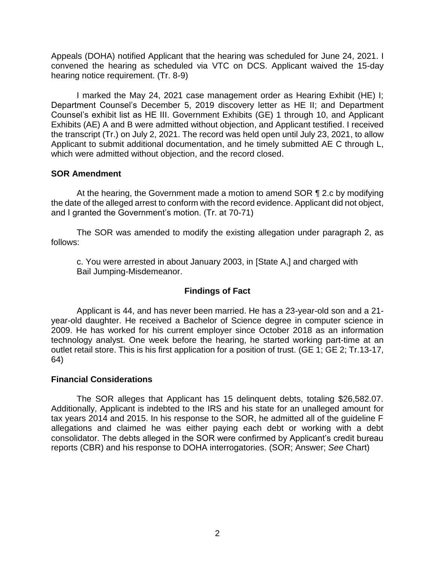Appeals (DOHA) notified Applicant that the hearing was scheduled for June 24, 2021. I convened the hearing as scheduled via VTC on DCS. Applicant waived the 15-day hearing notice requirement. (Tr. 8-9)

 I marked the May 24, 2021 case management order as Hearing Exhibit (HE) I; Department Counsel's December 5, 2019 discovery letter as HE II; and Department Counsel's exhibit list as HE III. Government Exhibits (GE) 1 through 10, and Applicant the transcript (Tr.) on July 2, 2021. The record was held open until July 23, 2021, to allow Applicant to submit additional documentation, and he timely submitted AE C through L, Exhibits (AE) A and B were admitted without objection, and Applicant testified. I received which were admitted without objection, and the record closed.

## **SOR Amendment**

 At the hearing, the Government made a motion to amend SOR ¶ 2.c by modifying the date of the alleged arrest to conform with the record evidence. Applicant did not object, and I granted the Government's motion. (Tr. at 70-71)

 The SOR was amended to modify the existing allegation under paragraph 2, as follows:

c. You were arrested in about January 2003, in [State A,] and charged with Bail Jumping-Misdemeanor.

# **Findings of Fact**

 Applicant is 44, and has never been married. He has a 23-year-old son and a 21- year-old daughter. He received a Bachelor of Science degree in computer science in 2009. He has worked for his current employer since October 2018 as an information technology analyst. One week before the hearing, he started working part-time at an outlet retail store. This is his first application for a position of trust. (GE 1; GE 2; Tr.13-17, 64)

## **Financial Considerations**

 The SOR alleges that Applicant has 15 delinquent debts, totaling [\\$26,582.07](https://26,582.07). Additionally, Applicant is indebted to the IRS and his state for an unalleged amount for tax years 2014 and 2015. In his response to the SOR, he admitted all of the guideline F allegations and claimed he was either paying each debt or working with a debt consolidator. The debts alleged in the SOR were confirmed by Applicant's credit bureau reports (CBR) and his response to DOHA interrogatories. (SOR; Answer; *See* Chart)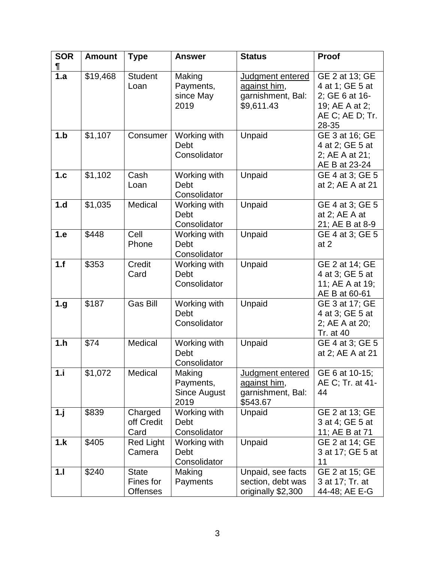| <b>SOR</b>       | <b>Amount</b> | <b>Type</b>                                  | <b>Answer</b>                                      | <b>Status</b>                                                       | Proof                                                                                             |
|------------------|---------------|----------------------------------------------|----------------------------------------------------|---------------------------------------------------------------------|---------------------------------------------------------------------------------------------------|
|                  |               |                                              |                                                    |                                                                     |                                                                                                   |
| 1.a              | \$19,468      | <b>Student</b><br>Loan                       | Making<br>Payments,<br>since May<br>2019           | Judgment entered<br>against him,<br>garnishment, Bal:<br>\$9,611.43 | GE 2 at 13; GE<br>4 at 1; GE 5 at<br>2; GE 6 at 16-<br>19; AE A at 2;<br>AE C; AE D; Tr.<br>28-35 |
| 1.b              | \$1,107       | Consumer                                     | Working with<br>Debt<br>Consolidator               | Unpaid                                                              | GE 3 at 16; GE<br>4 at 2; GE 5 at<br>2; AE A at 21;<br>AE B at 23-24                              |
| 1.c              | \$1,102       | Cash<br>Loan                                 | Working with<br>Debt<br>Consolidator               | Unpaid                                                              | GE 4 at 3; GE 5<br>at 2; AE A at 21                                                               |
| 1.d              | \$1,035       | Medical                                      | Working with<br>Debt<br>Consolidator               | Unpaid                                                              | GE 4 at 3; GE 5<br>at 2; AE A at<br>21; AE B at 8-9                                               |
| 1.e              | \$448         | Cell<br>Phone                                | Working with<br>Debt<br>Consolidator               | Unpaid                                                              | GE 4 at 3; GE 5<br>at $2$                                                                         |
| $1.\overline{f}$ | \$353         | Credit<br>Card                               | Working with<br>Debt<br>Consolidator               | Unpaid                                                              | GE 2 at 14; GE<br>4 at 3; GE 5 at<br>11; AE A at 19;<br>AE B at 60-61                             |
| 1.g              | \$187         | <b>Gas Bill</b>                              | Working with<br>Debt<br>Consolidator               | Unpaid                                                              | GE 3 at 17; GE<br>4 at 3; GE 5 at<br>2; AE A at 20;<br>Tr. at 40                                  |
| 1.h              | \$74          | Medical                                      | Working with<br>Debt<br>Consolidator               | Unpaid                                                              | GE 4 at 3; GE 5<br>at 2; AE A at 21                                                               |
| 1.i              | \$1,072       | Medical                                      | Making<br>Payments,<br><b>Since August</b><br>2019 | Judgment entered<br>against him,<br>garnishment, Bal:<br>\$543.67   | GE 6 at 10-15;<br>AE C; Tr. at 41-<br>44                                                          |
| 1.1              | \$839         | Charged<br>off Credit<br>Card                | Working with<br>Debt<br>Consolidator               | Unpaid                                                              | GE 2 at 13; GE<br>3 at 4; GE 5 at<br>11; AE B at 71                                               |
| 1.k              | \$405         | <b>Red Light</b><br>Camera                   | Working with<br><b>Debt</b><br>Consolidator        | Unpaid                                                              | GE 2 at 14; GE<br>3 at 17; GE 5 at<br>11                                                          |
| 1.1              | \$240         | <b>State</b><br>Fines for<br><b>Offenses</b> | Making<br>Payments                                 | Unpaid, see facts<br>section, debt was<br>originally \$2,300        | GE 2 at 15; GE<br>3 at 17; Tr. at<br>44-48; AE E-G                                                |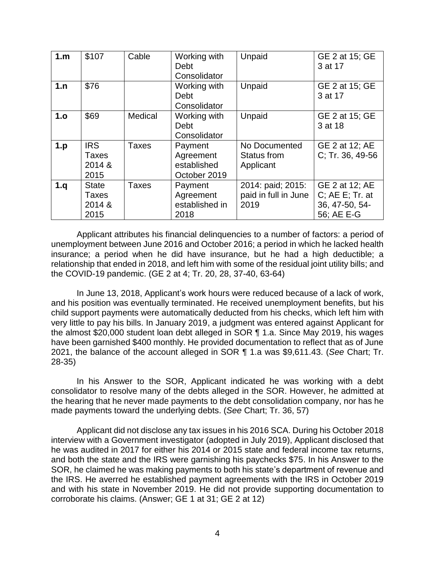| 1.m | \$107                                          | Cable        | Working with<br>Debt<br>Consolidator                | Unpaid                                            | GE 2 at 15; GE<br>3 at 17                                            |
|-----|------------------------------------------------|--------------|-----------------------------------------------------|---------------------------------------------------|----------------------------------------------------------------------|
| 1.n | \$76                                           |              | Working with<br>Debt<br>Consolidator                | Unpaid                                            | GE 2 at 15; GE<br>3 at 17                                            |
| 1.0 | \$69                                           | Medical      | Working with<br>Debt<br>Consolidator                | Unpaid                                            | GE 2 at 15; GE<br>3 at 18                                            |
| 1.p | <b>IRS</b><br>Taxes<br>2014 &<br>2015          | <b>Taxes</b> | Payment<br>Agreement<br>established<br>October 2019 | No Documented<br>Status from<br>Applicant         | GE 2 at 12; AE<br>C; Tr. 36, 49-56                                   |
| 1.q | <b>State</b><br><b>Taxes</b><br>2014 &<br>2015 | <b>Taxes</b> | Payment<br>Agreement<br>established in<br>2018      | 2014: paid; 2015:<br>paid in full in June<br>2019 | GE 2 at 12; AE<br>$C$ ; AE E; Tr. at<br>36, 47-50, 54-<br>56; AE E-G |

 unemployment between June 2016 and October 2016; a period in which he lacked health insurance; a period when he did have insurance, but he had a high deductible; a relationship that ended in 2018, and left him with some of the residual joint utility bills; and Applicant attributes his financial delinquencies to a number of factors: a period of the COVID-19 pandemic. (GE 2 at 4; Tr. 20, 28, 37-40, 63-64)

In June 13, 2018, Applicant's work hours were reduced because of a lack of work, and his position was eventually terminated. He received unemployment benefits, but his child support payments were automatically deducted from his checks, which left him with very little to pay his bills. In January 2019, a judgment was entered against Applicant for the almost \$20,000 student loan debt alleged in SOR ¶ 1.a. Since May 2019, his wages have been garnished \$400 monthly. He provided documentation to reflect that as of June 2021, the balance of the account alleged in SOR ¶ 1.a was \$[9,611.43.](https://9,611.43) (*See* Chart; Tr. 28-35)

 In his Answer to the SOR, Applicant indicated he was working with a debt consolidator to resolve many of the debts alleged in the SOR. However, he admitted at the hearing that he never made payments to the debt consolidation company, nor has he made payments toward the underlying debts. (*See* Chart; Tr. 36, 57)

 Applicant did not disclose any tax issues in his 2016 SCA. During his October 2018 interview with a Government investigator (adopted in July 2019), Applicant disclosed that he was audited in 2017 for either his 2014 or 2015 state and federal income tax returns, and both the state and the IRS were garnishing his paychecks \$75. In his Answer to the SOR, he claimed he was making payments to both his state's department of revenue and the IRS. He averred he established payment agreements with the IRS in October 2019 and with his state in November 2019. He did not provide supporting documentation to corroborate his claims. (Answer; GE 1 at 31; GE 2 at 12)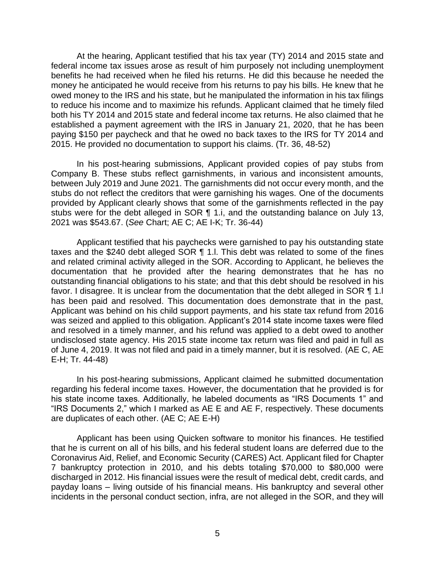At the hearing, Applicant testified that his tax year (TY) 2014 and 2015 state and federal income tax issues arose as result of him purposely not including unemployment benefits he had received when he filed his returns. He did this because he needed the money he anticipated he would receive from his returns to pay his bills. He knew that he owed money to the IRS and his state, but he manipulated the information in his tax filings to reduce his income and to maximize his refunds. Applicant claimed that he timely filed both his TY 2014 and 2015 state and federal income tax returns. He also claimed that he established a payment agreement with the IRS in January 21, 2020, that he has been paying \$150 per paycheck and that he owed no back taxes to the IRS for TY 2014 and 2015. He provided no documentation to support his claims. (Tr. 36, 48-52)

 In his post-hearing submissions, Applicant provided copies of pay stubs from Company B. These stubs reflect garnishments, in various and inconsistent amounts, between July 2019 and June 2021. The garnishments did not occur every month, and the stubs do not reflect the creditors that were garnishing his wages. One of the documents provided by Applicant clearly shows that some of the garnishments reflected in the pay stubs were for the debt alleged in SOR ¶ 1.i, and the outstanding balance on July 13, 2021 was \$543.67. (*See* Chart; AE C; AE I-K; Tr. 36-44)

 Applicant testified that his paychecks were garnished to pay his outstanding state taxes and the \$240 debt alleged SOR ¶ 1.l. This debt was related to some of the fines and related criminal activity alleged in the SOR. According to Applicant, he believes the documentation that he provided after the hearing demonstrates that he has no favor. I disagree. It is unclear from the documentation that the debt alleged in SOR ¶ 1.I has been paid and resolved. This documentation does demonstrate that in the past, Applicant was behind on his child support payments, and his state tax refund from 2016 and resolved in a timely manner, and his refund was applied to a debt owed to another undisclosed state agency. His 2015 state income tax return was filed and paid in full as of June 4, 2019. It was not filed and paid in a timely manner, but it is resolved. (AE C, AE outstanding financial obligations to his state; and that this debt should be resolved in his was seized and applied to this obligation. Applicant's 2014 state income taxes were filed E-H; Tr. 44-48)

 In his post-hearing submissions, Applicant claimed he submitted documentation regarding his federal income taxes. However, the documentation that he provided is for his state income taxes. Additionally, he labeled documents as "IRS Documents 1" and "IRS Documents 2," which I marked as AE E and AE F, respectively. These documents are duplicates of each other. (AE C; AE E-H)

 Applicant has been using Quicken software to monitor his finances. He testified that he is current on all of his bills, and his federal student loans are deferred due to the Coronavirus Aid, Relief, and Economic Security (CARES) Act. Applicant filed for Chapter 7 bankruptcy protection in 2010, and his debts totaling \$70,000 to \$80,000 were discharged in 2012. His financial issues were the result of medical debt, credit cards, and payday loans – living outside of his financial means. His bankruptcy and several other incidents in the personal conduct section, infra, are not alleged in the SOR, and they will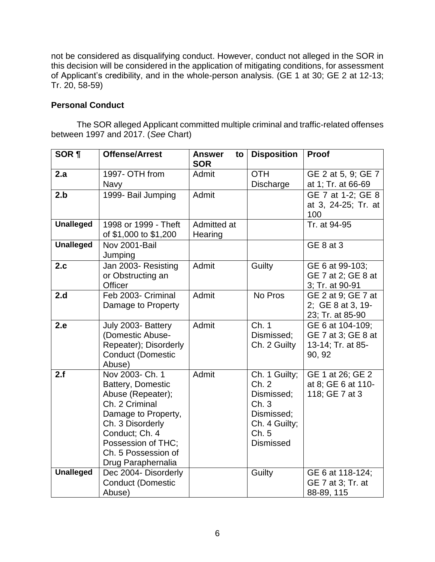not be considered as disqualifying conduct. However, conduct not alleged in the SOR in this decision will be considered in the application of mitigating conditions, for assessment of Applicant's credibility, and in the whole-person analysis. (GE 1 at 30; GE 2 at 12-13; Tr. 20, 58-59)

## **Personal Conduct**

 The SOR alleged Applicant committed multiple criminal and traffic-related offenses between 1997 and 2017. (*See* Chart)

| <b>SOR ¶</b>     | <b>Offense/Arrest</b>                                                                                                                                                                                       | <b>Answer</b><br>to<br><b>SOR</b> | <b>Disposition</b>                                                                                      | Proof                                                                 |
|------------------|-------------------------------------------------------------------------------------------------------------------------------------------------------------------------------------------------------------|-----------------------------------|---------------------------------------------------------------------------------------------------------|-----------------------------------------------------------------------|
| 2.a              | 1997- OTH from<br><b>Navy</b>                                                                                                                                                                               | Admit                             | <b>OTH</b><br>Discharge                                                                                 | GE 2 at 5, 9; GE 7<br>at 1; Tr. at 66-69                              |
| 2.b              | 1999- Bail Jumping                                                                                                                                                                                          | Admit                             |                                                                                                         | GE 7 at 1-2; GE 8<br>at 3, 24-25; Tr. at<br>100                       |
| <b>Unalleged</b> | 1998 or 1999 - Theft<br>of \$1,000 to \$1,200                                                                                                                                                               | Admitted at<br>Hearing            |                                                                                                         | Tr. at 94-95                                                          |
| <b>Unalleged</b> | Nov 2001-Bail<br>Jumping                                                                                                                                                                                    |                                   |                                                                                                         | <b>GE 8 at 3</b>                                                      |
| 2.c              | Jan 2003- Resisting<br>or Obstructing an<br>Officer                                                                                                                                                         | Admit                             | Guilty                                                                                                  | GE 6 at 99-103;<br>GE 7 at 2; GE 8 at<br>3; Tr. at 90-91              |
| 2.d              | Feb 2003- Criminal<br>Damage to Property                                                                                                                                                                    | Admit                             | No Pros                                                                                                 | GE 2 at 9; GE 7 at<br>2; GE 8 at 3, 19-<br>23; Tr. at 85-90           |
| 2.e              | July 2003- Battery<br>(Domestic Abuse-<br>Repeater); Disorderly<br><b>Conduct (Domestic</b><br>Abuse)                                                                                                       | Admit                             | $\overline{Ch. 1}$<br>Dismissed;<br>Ch. 2 Guilty                                                        | GE 6 at 104-109;<br>GE 7 at 3; GE 8 at<br>13-14; Tr. at 85-<br>90, 92 |
| 2.f              | Nov 2003- Ch. 1<br>Battery, Domestic<br>Abuse (Repeater);<br>Ch. 2 Criminal<br>Damage to Property,<br>Ch. 3 Disorderly<br>Conduct; Ch. 4<br>Possession of THC;<br>Ch. 5 Possession of<br>Drug Paraphernalia | Admit                             | Ch. 1 Guilty;<br>Ch. 2<br>Dismissed;<br>Ch.3<br>Dismissed;<br>Ch. 4 Guilty;<br>Ch.5<br><b>Dismissed</b> | GE 1 at 26; GE 2<br>at 8; GE 6 at 110-<br>118; GE 7 at 3              |
| <b>Unalleged</b> | Dec 2004- Disorderly<br><b>Conduct (Domestic</b><br>Abuse)                                                                                                                                                  |                                   | Guilty                                                                                                  | GE 6 at 118-124;<br>GE 7 at 3; Tr. at<br>88-89, 115                   |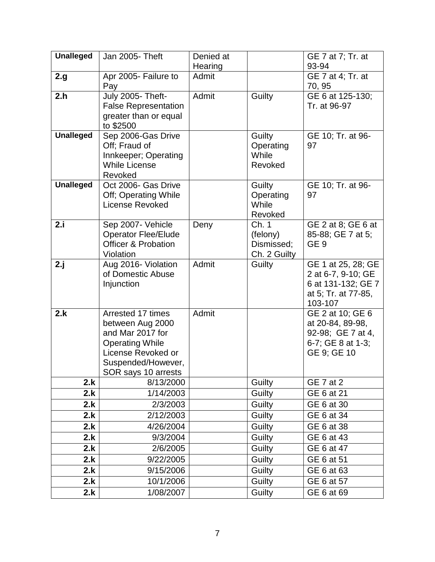| <b>Unalleged</b> | Jan 2005- Theft                       | Denied at |                    | GE 7 at 7; Tr. at                         |
|------------------|---------------------------------------|-----------|--------------------|-------------------------------------------|
|                  |                                       | Hearing   |                    | 93-94                                     |
| 2.g              | Apr 2005- Failure to                  | Admit     |                    | GE 7 at 4; Tr. at                         |
|                  | Pay                                   |           |                    | 70, 95                                    |
| 2.h              | July 2005- Theft-                     | Admit     | Guilty             | GE 6 at 125-130;                          |
|                  | <b>False Representation</b>           |           |                    | Tr. at 96-97                              |
|                  | greater than or equal                 |           |                    |                                           |
|                  | to \$2500                             |           |                    |                                           |
| <b>Unalleged</b> | Sep 2006-Gas Drive                    |           | Guilty             | GE 10; Tr. at 96-<br>97                   |
|                  | Off; Fraud of<br>Innkeeper; Operating |           | Operating<br>While |                                           |
|                  | <b>While License</b>                  |           | Revoked            |                                           |
|                  | Revoked                               |           |                    |                                           |
| <b>Unalleged</b> | Oct 2006- Gas Drive                   |           | Guilty             | GE 10; Tr. at 96-                         |
|                  | Off; Operating While                  |           | Operating          | 97                                        |
|                  | <b>License Revoked</b>                |           | While              |                                           |
|                  |                                       |           | Revoked            |                                           |
| 2.i              | Sep 2007- Vehicle                     | Deny      | Ch. 1              | GE 2 at 8; GE 6 at                        |
|                  | <b>Operator Flee/Elude</b>            |           | (felony)           | 85-88; GE 7 at 5;                         |
|                  | <b>Officer &amp; Probation</b>        |           | Dismissed;         | GE <sub>9</sub>                           |
|                  | Violation                             |           | Ch. 2 Guilty       |                                           |
| 2.j              | Aug 2016- Violation                   | Admit     | Guilty             | GE 1 at 25, 28; GE                        |
|                  | of Domestic Abuse                     |           |                    | 2 at 6-7, 9-10; GE                        |
|                  | Injunction                            |           |                    | 6 at 131-132; GE 7<br>at 5; Tr. at 77-85, |
|                  |                                       |           |                    | 103-107                                   |
| 2.k              | Arrested 17 times                     | Admit     |                    | GE 2 at 10; GE 6                          |
|                  | between Aug 2000                      |           |                    | at 20-84, 89-98,                          |
|                  | and Mar 2017 for                      |           |                    | 92-98; GE 7 at 4,                         |
|                  | <b>Operating While</b>                |           |                    | 6-7; GE 8 at 1-3;                         |
|                  | License Revoked or                    |           |                    | GE 9; GE 10                               |
|                  | Suspended/However,                    |           |                    |                                           |
|                  | SOR says 10 arrests                   |           |                    |                                           |
| 2.k              | 8/13/2000                             |           | Guilty             | <b>GE 7 at 2</b>                          |
| 2.k              | 1/14/2003                             |           | Guilty             | GE 6 at 21                                |
| 2.k              | 2/3/2003                              |           | Guilty             | GE 6 at 30                                |
| 2.k              | 2/12/2003                             |           | Guilty             | GE 6 at 34                                |
| 2.k              | 4/26/2004                             |           | Guilty             | GE 6 at 38                                |
| 2.k              | 9/3/2004                              |           | Guilty             | GE 6 at 43                                |
| 2.k              | 2/6/2005                              |           | Guilty             | GE 6 at 47                                |
| 2.k              | 9/22/2005                             |           | Guilty             | GE 6 at 51                                |
| 2.k              | 9/15/2006                             |           | Guilty             | GE 6 at 63                                |
| 2.k              | 10/1/2006                             |           | Guilty             | GE 6 at 57                                |
| 2.k              | 1/08/2007                             |           | Guilty             | GE 6 at 69                                |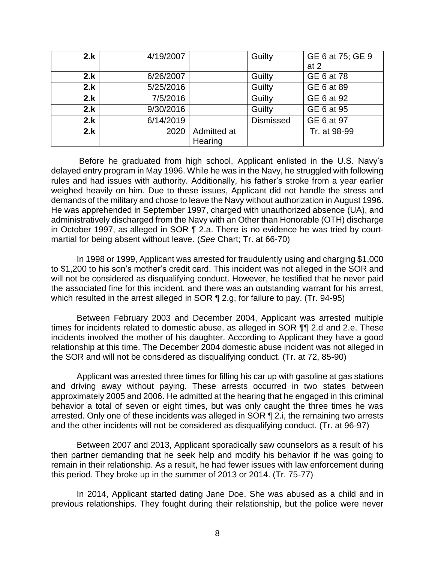| 2.k | 4/19/2007 |             | Guilty           | GE 6 at 75; GE 9 |
|-----|-----------|-------------|------------------|------------------|
|     |           |             |                  | at $2$           |
| 2.k | 6/26/2007 |             | Guilty           | GE 6 at 78       |
| 2.k | 5/25/2016 |             | Guilty           | GE 6 at 89       |
| 2.k | 7/5/2016  |             | Guilty           | GE 6 at 92       |
| 2.k | 9/30/2016 |             | Guilty           | GE 6 at 95       |
| 2.k | 6/14/2019 |             | <b>Dismissed</b> | GE 6 at 97       |
| 2.k | 2020      | Admitted at |                  | Tr. at 98-99     |
|     |           | Hearing     |                  |                  |

 Before he graduated from high school, Applicant enlisted in the U.S. Navy's delayed entry program in May 1996. While he was in the Navy, he struggled with following rules and had issues with authority. Additionally, his father's stroke from a year earlier weighed heavily on him. Due to these issues, Applicant did not handle the stress and demands of the military and chose to leave the Navy without authorization in August 1996. He was apprehended in September 1997, charged with unauthorized absence (UA), and administratively discharged from the Navy with an Other than Honorable (OTH) discharge in October 1997, as alleged in SOR ¶ 2.a. There is no evidence he was tried by courtmartial for being absent without leave. (*See* Chart; Tr. at 66-70)

 In 1998 or 1999, Applicant was arrested for fraudulently using and charging \$1,000 will not be considered as disqualifying conduct. However, he testified that he never paid the associated fine for this incident, and there was an outstanding warrant for his arrest, which resulted in the arrest alleged in SOR ¶ 2.g, for failure to pay. (Tr. 94-95) to \$1,200 to his son's mother's credit card. This incident was not alleged in the SOR and

 Between February 2003 and December 2004, Applicant was arrested multiple times for incidents related to domestic abuse, as alleged in SOR ¶¶ 2.d and 2.e. These incidents involved the mother of his daughter. According to Applicant they have a good relationship at this time. The December 2004 domestic abuse incident was not alleged in the SOR and will not be considered as disqualifying conduct. (Tr. at 72, 85-90)

 Applicant was arrested three times for filling his car up with gasoline at gas stations and driving away without paying. These arrests occurred in two states between approximately 2005 and 2006. He admitted at the hearing that he engaged in this criminal behavior a total of seven or eight times, but was only caught the three times he was arrested. Only one of these incidents was alleged in SOR ¶ 2.i, the remaining two arrests and the other incidents will not be considered as disqualifying conduct. (Tr. at 96-97)

 Between 2007 and 2013, Applicant sporadically saw counselors as a result of his then partner demanding that he seek help and modify his behavior if he was going to remain in their relationship. As a result, he had fewer issues with law enforcement during this period. They broke up in the summer of 2013 or 2014. (Tr. 75-77)

 In 2014, Applicant started dating Jane Doe. She was abused as a child and in previous relationships. They fought during their relationship, but the police were never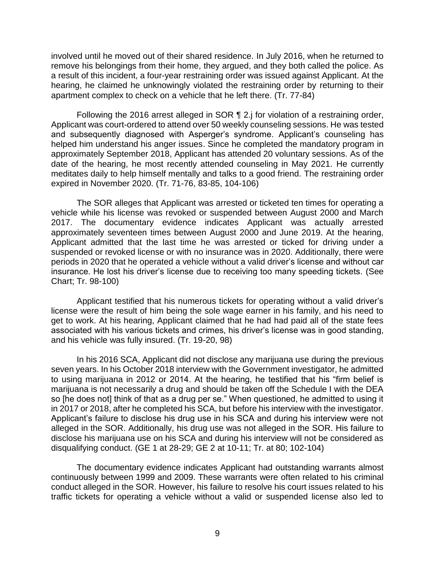involved until he moved out of their shared residence. In July 2016, when he returned to remove his belongings from their home, they argued, and they both called the police. As a result of this incident, a four-year restraining order was issued against Applicant. At the hearing, he claimed he unknowingly violated the restraining order by returning to their apartment complex to check on a vehicle that he left there. (Tr. 77-84)

Following the 2016 arrest alleged in SOR ¶ 2.j for violation of a restraining order, Applicant was court-ordered to attend over 50 weekly counseling sessions. He was tested and subsequently diagnosed with Asperger's syndrome. Applicant's counseling has helped him understand his anger issues. Since he completed the mandatory program in date of the hearing, he most recently attended counseling in May 2021. He currently meditates daily to help himself mentally and talks to a good friend. The restraining order approximately September 2018, Applicant has attended 20 voluntary sessions. As of the expired in November 2020. (Tr. 71-76, 83-85, 104-106)

 The SOR alleges that Applicant was arrested or ticketed ten times for operating a vehicle while his license was revoked or suspended between August 2000 and March 2017. The documentary evidence indicates Applicant was actually arrested approximately seventeen times between August 2000 and June 2019. At the hearing, Applicant admitted that the last time he was arrested or ticked for driving under a suspended or revoked license or with no insurance was in 2020. Additionally, there were periods in 2020 that he operated a vehicle without a valid driver's license and without car insurance. He lost his driver's license due to receiving too many speeding tickets. (See Chart; Tr. 98-100)

 Applicant testified that his numerous tickets for operating without a valid driver's license were the result of him being the sole wage earner in his family, and his need to get to work. At his hearing, Applicant claimed that he had had paid all of the state fees associated with his various tickets and crimes, his driver's license was in good standing, and his vehicle was fully insured. (Tr. 19-20, 98)

 In his 2016 SCA, Applicant did not disclose any marijuana use during the previous seven years. In his October 2018 interview with the Government investigator, he admitted to using marijuana in 2012 or 2014. At the hearing, he testified that his "firm belief is marijuana is not necessarily a drug and should be taken off the Schedule I with the DEA so [he does not] think of that as a drug per se." When questioned, he admitted to using it in 2017 or 2018, after he completed his SCA, but before his interview with the investigator. Applicant's failure to disclose his drug use in his SCA and during his interview were not alleged in the SOR. Additionally, his drug use was not alleged in the SOR. His failure to disclose his marijuana use on his SCA and during his interview will not be considered as disqualifying conduct. (GE 1 at 28-29; GE 2 at 10-11; Tr. at 80; 102-104)

 The documentary evidence indicates Applicant had outstanding warrants almost continuously between 1999 and 2009. These warrants were often related to his criminal conduct alleged in the SOR. However, his failure to resolve his court issues related to his traffic tickets for operating a vehicle without a valid or suspended license also led to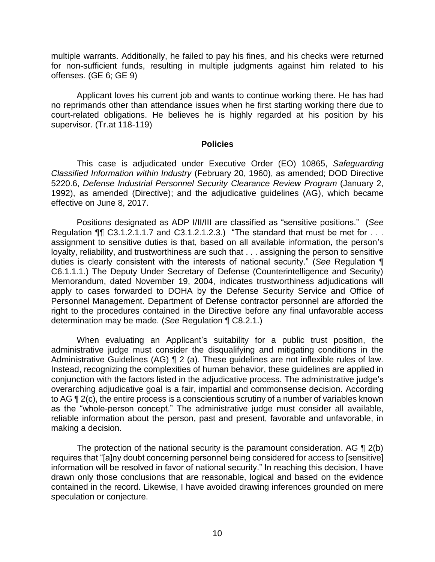multiple warrants. Additionally, he failed to pay his fines, and his checks were returned for non-sufficient funds, resulting in multiple judgments against him related to his offenses. (GE 6; GE 9)

 Applicant loves his current job and wants to continue working there. He has had no reprimands other than attendance issues when he first starting working there due to court-related obligations. He believes he is highly regarded at his position by his supervisor. (Tr.at 118-119)

#### **Policies**

 *Classified Information within Industry* (February 20, 1960), as amended; DOD Directive 5220.6, *Defense Industrial Personnel Security Clearance Review Program* (January 2, 1992), as amended (Directive); and the adjudicative guidelines (AG), which became This case is adjudicated under Executive Order (EO) 10865, *Safeguarding*  effective on June 8, 2017.

Regulation  $\P\P$  C3.1.2.1.1.7 and C3.1.2.1.2.3.) "The standard that must be met for  $\dots$  assignment to sensitive duties is that, based on all available information, the person's loyalty, reliability, and trustworthiness are such that . . . assigning the person to sensitive duties is clearly consistent with the interests of national security." (*See* Regulation ¶ C6.1.1.1.) The Deputy Under Secretary of Defense (Counterintelligence and Security) Memorandum, dated November 19, 2004, indicates trustworthiness adjudications will apply to cases forwarded to DOHA by the Defense Security Service and Office of Personnel Management. Department of Defense contractor personnel are afforded the right to the procedures contained in the Directive before any final unfavorable access determination may be made. (*See* Regulation ¶ C8.2.1.) Positions designated as ADP I/II/III are classified as "sensitive positions." (*See* 

 When evaluating an Applicant's suitability for a public trust position, the administrative judge must consider the disqualifying and mitigating conditions in the Administrative Guidelines (AG) ¶ 2 (a). These guidelines are not inflexible rules of law. conjunction with the factors listed in the adjudicative process. The administrative judge's to AG ¶ 2(c), the entire process is a conscientious scrutiny of a number of variables known reliable information about the person, past and present, favorable and unfavorable, in Instead, recognizing the complexities of human behavior, these guidelines are applied in overarching adjudicative goal is a fair, impartial and commonsense decision. According as the "whole-person concept." The administrative judge must consider all available, making a decision.

The protection of the national security is the paramount consideration. AG  $\P$  2(b) requires that "[a]ny doubt concerning personnel being considered for access to [sensitive] information will be resolved in favor of national security." In reaching this decision, I have drawn only those conclusions that are reasonable, logical and based on the evidence contained in the record. Likewise, I have avoided drawing inferences grounded on mere speculation or conjecture.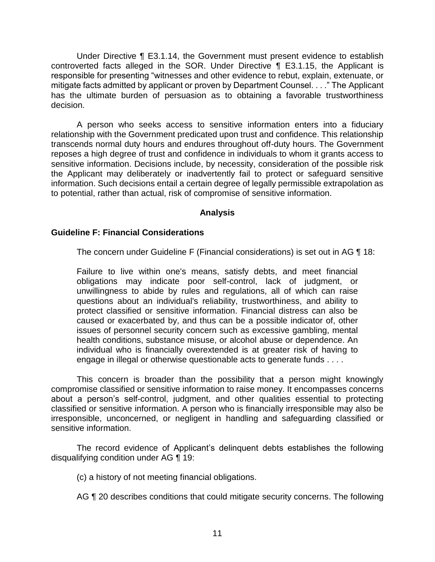Under Directive ¶ E3.1.14, the Government must present evidence to establish controverted facts alleged in the SOR. Under Directive ¶ E3.1.15, the Applicant is responsible for presenting "witnesses and other evidence to rebut, explain, extenuate, or mitigate facts admitted by applicant or proven by Department Counsel. . . ." The Applicant has the ultimate burden of persuasion as to obtaining a favorable trustworthiness decision.

 A person who seeks access to sensitive information enters into a fiduciary relationship with the Government predicated upon trust and confidence. This relationship transcends normal duty hours and endures throughout off-duty hours. The Government reposes a high degree of trust and confidence in individuals to whom it grants access to sensitive information. Decisions include, by necessity, consideration of the possible risk the Applicant may deliberately or inadvertently fail to protect or safeguard sensitive information. Such decisions entail a certain degree of legally permissible extrapolation as to potential, rather than actual, risk of compromise of sensitive information.

#### **Analysis**

## **Guideline F: Financial Considerations**

The concern under Guideline F (Financial considerations) is set out in AG ¶ 18:

Failure to live within one's means, satisfy debts, and meet financial obligations may indicate poor self-control, lack of judgment, or unwillingness to abide by rules and regulations, all of which can raise questions about an individual's reliability, trustworthiness, and ability to protect classified or sensitive information. Financial distress can also be caused or exacerbated by, and thus can be a possible indicator of, other issues of personnel security concern such as excessive gambling, mental health conditions, substance misuse, or alcohol abuse or dependence. An individual who is financially overextended is at greater risk of having to engage in illegal or otherwise questionable acts to generate funds . . . .

 This concern is broader than the possibility that a person might knowingly compromise classified or sensitive information to raise money. It encompasses concerns about a person's self-control, judgment, and other qualities essential to protecting classified or sensitive information. A person who is financially irresponsible may also be irresponsible, unconcerned, or negligent in handling and safeguarding classified or sensitive information.

 The record evidence of Applicant's delinquent debts establishes the following disqualifying condition under AG ¶ 19:

(c) a history of not meeting financial obligations.

AG ¶ 20 describes conditions that could mitigate security concerns. The following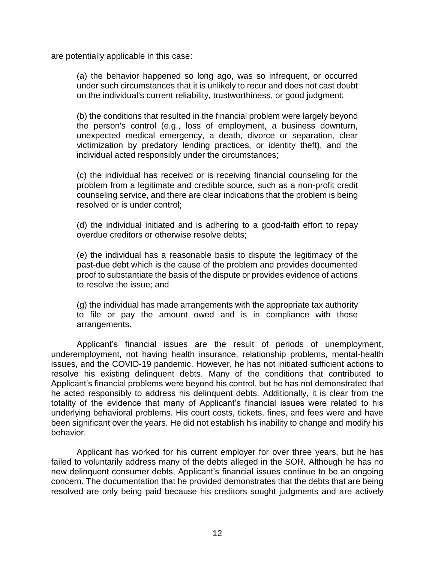are potentially applicable in this case:

(a) the behavior happened so long ago, was so infrequent, or occurred under such circumstances that it is unlikely to recur and does not cast doubt on the individual's current reliability, trustworthiness, or good judgment;

(b) the conditions that resulted in the financial problem were largely beyond the person's control (e.g., loss of employment, a business downturn, unexpected medical emergency, a death, divorce or separation, clear victimization by predatory lending practices, or identity theft), and the individual acted responsibly under the circumstances;

(c) the individual has received or is receiving financial counseling for the problem from a legitimate and credible source, such as a non-profit credit counseling service, and there are clear indications that the problem is being resolved or is under control;

(d) the individual initiated and is adhering to a good-faith effort to repay overdue creditors or otherwise resolve debts;

(e) the individual has a reasonable basis to dispute the legitimacy of the past-due debt which is the cause of the problem and provides documented proof to substantiate the basis of the dispute or provides evidence of actions to resolve the issue; and

(g) the individual has made arrangements with the appropriate tax authority to file or pay the amount owed and is in compliance with those arrangements.

 underemployment, not having health insurance, relationship problems, mental-health issues, and the COVID-19 pandemic. However, he has not initiated sufficient actions to resolve his existing delinquent debts. Many of the conditions that contributed to Applicant's financial problems were beyond his control, but he has not demonstrated that he acted responsibly to address his delinquent debts. Additionally, it is clear from the totality of the evidence that many of Applicant's financial issues were related to his underlying behavioral problems. His court costs, tickets, fines, and fees were and have been significant over the years. He did not establish his inability to change and modify his Applicant's financial issues are the result of periods of unemployment, behavior.

 Applicant has worked for his current employer for over three years, but he has failed to voluntarily address many of the debts alleged in the SOR. Although he has no new delinquent consumer debts, Applicant's financial issues continue to be an ongoing concern. The documentation that he provided demonstrates that the debts that are being resolved are only being paid because his creditors sought judgments and are actively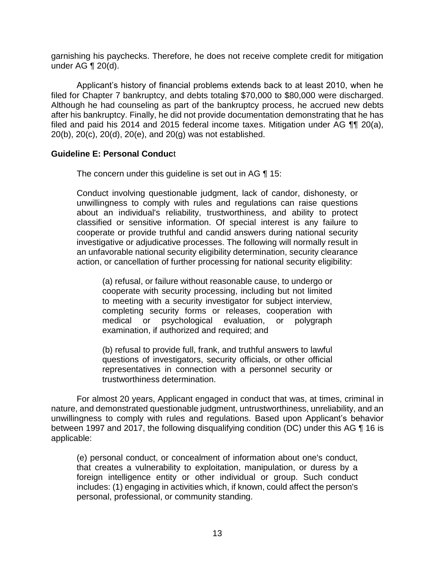garnishing his paychecks. Therefore, he does not receive complete credit for mitigation under AG ¶ 20(d).

Applicant's history of financial problems extends back to at least 2010, when he filed for Chapter 7 bankruptcy, and debts totaling \$70,000 to \$80,000 were discharged. Although he had counseling as part of the bankruptcy process, he accrued new debts after his bankruptcy. Finally, he did not provide documentation demonstrating that he has filed and paid his 2014 and 2015 federal income taxes. Mitigation under AG ¶¶ 20(a), 20(b), 20(c), 20(d), 20(e), and 20(g) was not established.

## **Guideline E: Personal Conduc**t

The concern under this guideline is set out in AG ¶ 15:

 Conduct involving questionable judgment, lack of candor, dishonesty, or unwillingness to comply with rules and regulations can raise questions about an individual's reliability, trustworthiness, and ability to protect classified or sensitive information. Of special interest is any failure to cooperate or provide truthful and candid answers during national security investigative or adjudicative processes. The following will normally result in an unfavorable national security eligibility determination, security clearance action, or cancellation of further processing for national security eligibility:

(a) refusal, or failure without reasonable cause, to undergo or cooperate with security processing, including but not limited to meeting with a security investigator for subject interview, completing security forms or releases, cooperation with medical or psychological evaluation, or polygraph examination, if authorized and required; and

(b) refusal to provide full, frank, and truthful answers to lawful questions of investigators, security officials, or other official representatives in connection with a personnel security or trustworthiness determination.

 For almost 20 years, Applicant engaged in conduct that was, at times, criminal in nature, and demonstrated questionable judgment, untrustworthiness, unreliability, and an unwillingness to comply with rules and regulations. Based upon Applicant's behavior between 1997 and 2017, the following disqualifying condition (DC) under this AG ¶ 16 is applicable:

(e) personal conduct, or concealment of information about one's conduct, that creates a vulnerability to exploitation, manipulation, or duress by a foreign intelligence entity or other individual or group. Such conduct includes: (1) engaging in activities which, if known, could affect the person's personal, professional, or community standing.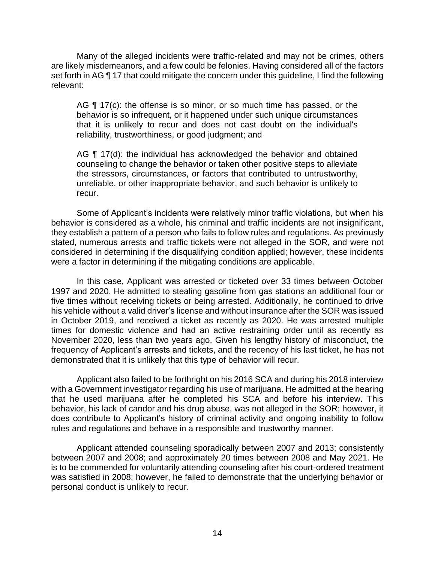Many of the alleged incidents were traffic-related and may not be crimes, others are likely misdemeanors, and a few could be felonies. Having considered all of the factors set forth in AG ¶ 17 that could mitigate the concern under this guideline, I find the following relevant:

AG ¶ 17(c): the offense is so minor, or so much time has passed, or the that it is unlikely to recur and does not cast doubt on the individual's behavior is so infrequent, or it happened under such unique circumstances reliability, trustworthiness, or good judgment; and

AG ¶ 17(d): the individual has acknowledged the behavior and obtained counseling to change the behavior or taken other positive steps to alleviate the stressors, circumstances, or factors that contributed to untrustworthy, unreliable, or other inappropriate behavior, and such behavior is unlikely to recur.

 Some of Applicant's incidents were relatively minor traffic violations, but when his behavior is considered as a whole, his criminal and traffic incidents are not insignificant, they establish a pattern of a person who fails to follow rules and regulations. As previously stated, numerous arrests and traffic tickets were not alleged in the SOR, and were not considered in determining if the disqualifying condition applied; however, these incidents were a factor in determining if the mitigating conditions are applicable.

 In this case, Applicant was arrested or ticketed over 33 times between October 1997 and 2020. He admitted to stealing gasoline from gas stations an additional four or five times without receiving tickets or being arrested. Additionally, he continued to drive his vehicle without a valid driver's license and without insurance after the SOR was issued in October 2019, and received a ticket as recently as 2020. He was arrested multiple times for domestic violence and had an active restraining order until as recently as November 2020, less than two years ago. Given his lengthy history of misconduct, the frequency of Applicant's arrests and tickets, and the recency of his last ticket, he has not demonstrated that it is unlikely that this type of behavior will recur.

 Applicant also failed to be forthright on his 2016 SCA and during his 2018 interview with a Government investigator regarding his use of marijuana. He admitted at the hearing that he used marijuana after he completed his SCA and before his interview. This does contribute to Applicant's history of criminal activity and ongoing inability to follow behavior, his lack of candor and his drug abuse, was not alleged in the SOR; however, it rules and regulations and behave in a responsible and trustworthy manner.

 Applicant attended counseling sporadically between 2007 and 2013; consistently between 2007 and 2008; and approximately 20 times between 2008 and May 2021. He is to be commended for voluntarily attending counseling after his court-ordered treatment was satisfied in 2008; however, he failed to demonstrate that the underlying behavior or personal conduct is unlikely to recur.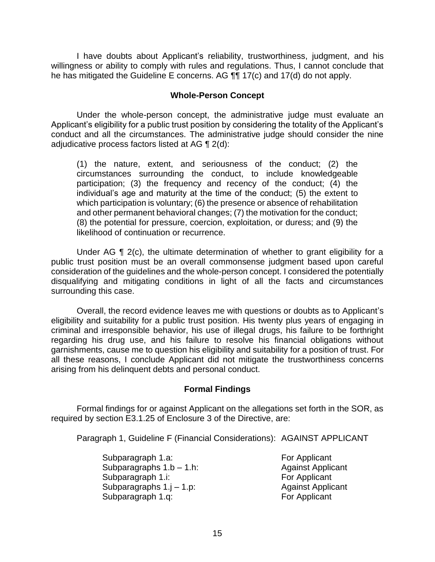willingness or ability to comply with rules and regulations. Thus, I cannot conclude that I have doubts about Applicant's reliability, trustworthiness, judgment, and his he has mitigated the Guideline E concerns. AG ¶¶ 17(c) and 17(d) do not apply.

#### **Whole-Person Concept**

Under the whole-person concept, the administrative judge must evaluate an Applicant's eligibility for a public trust position by considering the totality of the Applicant's conduct and all the circumstances. The administrative judge should consider the nine adjudicative process factors listed at AG ¶ 2(d):

 (1) the nature, extent, and seriousness of the conduct; (2) the circumstances surrounding the conduct, to include knowledgeable participation; (3) the frequency and recency of the conduct; (4) the individual's age and maturity at the time of the conduct; (5) the extent to which participation is voluntary; (6) the presence or absence of rehabilitation and other permanent behavioral changes; (7) the motivation for the conduct; (8) the potential for pressure, coercion, exploitation, or duress; and (9) the likelihood of continuation or recurrence.

Under AG  $\P$  2(c), the ultimate determination of whether to grant eligibility for a public trust position must be an overall commonsense judgment based upon careful consideration of the guidelines and the whole-person concept. I considered the potentially disqualifying and mitigating conditions in light of all the facts and circumstances surrounding this case.

 eligibility and suitability for a public trust position. His twenty plus years of engaging in criminal and irresponsible behavior, his use of illegal drugs, his failure to be forthright regarding his drug use, and his failure to resolve his financial obligations without garnishments, cause me to question his eligibility and suitability for a position of trust. For all these reasons, I conclude Applicant did not mitigate the trustworthiness concerns Overall, the record evidence leaves me with questions or doubts as to Applicant's arising from his delinquent debts and personal conduct.

## **Formal Findings**

 Formal findings for or against Applicant on the allegations set forth in the SOR, as required by section E3.1.25 of Enclosure 3 of the Directive, are:

Paragraph 1, Guideline F (Financial Considerations): AGAINST APPLICANT

Subparagraph 1.a: For Applicant Subparagraphs  $1.b - 1.h$ : Against Applicant Subparagraph 1.i: For Applicant Subparagraphs 1.j - 1.p: Against Applicant Subparagraph 1.g: For Applicant